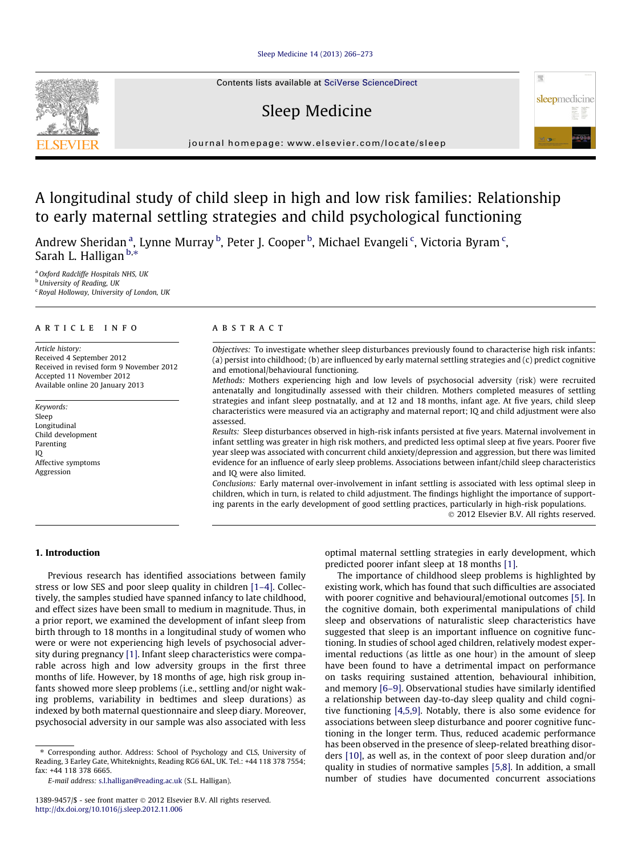## [Sleep Medicine 14 \(2013\) 266–273](http://dx.doi.org/10.1016/j.sleep.2012.11.006)

Contents lists available at [SciVerse ScienceDirect](http://www.sciencedirect.com/science/journal/13899457)

# Sleep Medicine



journal homepage: [www.elsevier.com/locate/sleep](http://www.elsevier.com/locate/sleep)

# A longitudinal study of child sleep in high and low risk families: Relationship to early maternal settling strategies and child psychological functioning

Andrew Sheridan <sup>a</sup>, Lynne Murray <sup>b</sup>, Peter J. Cooper <sup>b</sup>, Michael Evangeli <sup>c</sup>, Victoria Byram <sup>c</sup>, Sarah L. Halligan  $b.*$ 

<sup>a</sup> Oxford Radcliffe Hospitals NHS, UK

**b** University of Reading, UK

<sup>c</sup> Royal Holloway, University of London, UK

## article info

Article history: Received 4 September 2012 Received in revised form 9 November 2012 Accepted 11 November 2012 Available online 20 January 2013

Keywords: Sleep Longitudinal Child development Parenting IQ Affective symptoms Aggression

## ABSTRACT

Objectives: To investigate whether sleep disturbances previously found to characterise high risk infants: (a) persist into childhood; (b) are influenced by early maternal settling strategies and (c) predict cognitive and emotional/behavioural functioning.

Methods: Mothers experiencing high and low levels of psychosocial adversity (risk) were recruited antenatally and longitudinally assessed with their children. Mothers completed measures of settling strategies and infant sleep postnatally, and at 12 and 18 months, infant age. At five years, child sleep characteristics were measured via an actigraphy and maternal report; IQ and child adjustment were also assessed.

Results: Sleep disturbances observed in high-risk infants persisted at five years. Maternal involvement in infant settling was greater in high risk mothers, and predicted less optimal sleep at five years. Poorer five year sleep was associated with concurrent child anxiety/depression and aggression, but there was limited evidence for an influence of early sleep problems. Associations between infant/child sleep characteristics and IQ were also limited.

Conclusions: Early maternal over-involvement in infant settling is associated with less optimal sleep in children, which in turn, is related to child adjustment. The findings highlight the importance of supporting parents in the early development of good settling practices, particularly in high-risk populations. - 2012 Elsevier B.V. All rights reserved.

# 1. Introduction

Previous research has identified associations between family stress or low SES and poor sleep quality in children [\[1–4\]](#page-6-0). Collectively, the samples studied have spanned infancy to late childhood, and effect sizes have been small to medium in magnitude. Thus, in a prior report, we examined the development of infant sleep from birth through to 18 months in a longitudinal study of women who were or were not experiencing high levels of psychosocial adversity during pregnancy [\[1\].](#page-6-0) Infant sleep characteristics were comparable across high and low adversity groups in the first three months of life. However, by 18 months of age, high risk group infants showed more sleep problems (i.e., settling and/or night waking problems, variability in bedtimes and sleep durations) as indexed by both maternal questionnaire and sleep diary. Moreover, psychosocial adversity in our sample was also associated with less

⇑ Corresponding author. Address: School of Psychology and CLS, University of Reading, 3 Earley Gate, Whiteknights, Reading RG6 6AL, UK. Tel.: +44 118 378 7554; fax: +44 118 378 6665.

optimal maternal settling strategies in early development, which predicted poorer infant sleep at 18 months [\[1\].](#page-6-0)

The importance of childhood sleep problems is highlighted by existing work, which has found that such difficulties are associated with poorer cognitive and behavioural/emotional outcomes [\[5\].](#page-7-0) In the cognitive domain, both experimental manipulations of child sleep and observations of naturalistic sleep characteristics have suggested that sleep is an important influence on cognitive functioning. In studies of school aged children, relatively modest experimental reductions (as little as one hour) in the amount of sleep have been found to have a detrimental impact on performance on tasks requiring sustained attention, behavioural inhibition, and memory [\[6–9\].](#page-7-0) Observational studies have similarly identified a relationship between day-to-day sleep quality and child cognitive functioning [\[4,5,9\]](#page-7-0). Notably, there is also some evidence for associations between sleep disturbance and poorer cognitive functioning in the longer term. Thus, reduced academic performance has been observed in the presence of sleep-related breathing disorders [\[10\]](#page-7-0), as well as, in the context of poor sleep duration and/or quality in studies of normative samples [\[5,8\].](#page-7-0) In addition, a small number of studies have documented concurrent associations



E-mail address: [s.l.halligan@reading.ac.uk](mailto:s.l.halligan@reading.ac.uk) (S.L. Halligan).

<sup>1389-9457/\$ -</sup> see front matter © 2012 Elsevier B.V. All rights reserved. <http://dx.doi.org/10.1016/j.sleep.2012.11.006>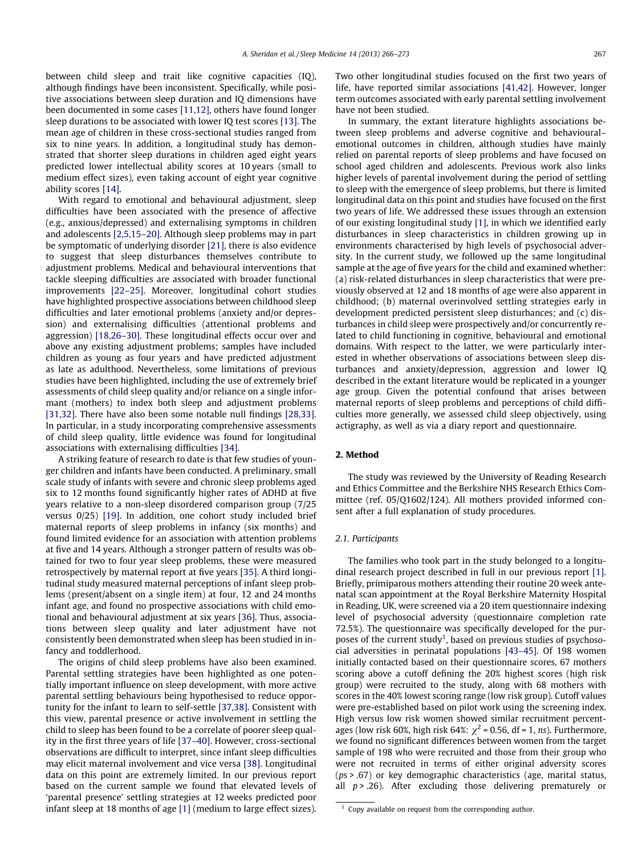between child sleep and trait like cognitive capacities (IQ), although findings have been inconsistent. Specifically, while positive associations between sleep duration and IQ dimensions have been documented in some cases [\[11,12\]](#page-7-0), others have found longer sleep durations to be associated with lower IQ test scores [\[13\].](#page-7-0) The mean age of children in these cross-sectional studies ranged from six to nine years. In addition, a longitudinal study has demonstrated that shorter sleep durations in children aged eight years predicted lower intellectual ability scores at 10 years (small to medium effect sizes), even taking account of eight year cognitive ability scores [\[14\].](#page-7-0)

With regard to emotional and behavioural adjustment, sleep difficulties have been associated with the presence of affective (e.g., anxious/depressed) and externalising symptoms in children and adolescents [\[2,5,15–20\]](#page-6-0). Although sleep problems may in part be symptomatic of underlying disorder [\[21\]](#page-7-0), there is also evidence to suggest that sleep disturbances themselves contribute to adjustment problems. Medical and behavioural interventions that tackle sleeping difficulties are associated with broader functional improvements [\[22–25\]](#page-7-0). Moreover, longitudinal cohort studies have highlighted prospective associations between childhood sleep difficulties and later emotional problems (anxiety and/or depression) and externalising difficulties (attentional problems and aggression) [\[18,26–30\].](#page-7-0) These longitudinal effects occur over and above any existing adjustment problems; samples have included children as young as four years and have predicted adjustment as late as adulthood. Nevertheless, some limitations of previous studies have been highlighted, including the use of extremely brief assessments of child sleep quality and/or reliance on a single informant (mothers) to index both sleep and adjustment problems [\[31,32\]](#page-7-0). There have also been some notable null findings [\[28,33\].](#page-7-0) In particular, in a study incorporating comprehensive assessments of child sleep quality, little evidence was found for longitudinal associations with externalising difficulties [\[34\]](#page-7-0).

A striking feature of research to date is that few studies of younger children and infants have been conducted. A preliminary, small scale study of infants with severe and chronic sleep problems aged six to 12 months found significantly higher rates of ADHD at five years relative to a non-sleep disordered comparison group (7/25 versus 0/25) [\[19\]](#page-7-0). In addition, one cohort study included brief maternal reports of sleep problems in infancy (six months) and found limited evidence for an association with attention problems at five and 14 years. Although a stronger pattern of results was obtained for two to four year sleep problems, these were measured retrospectively by maternal report at five years [\[35\].](#page-7-0) A third longitudinal study measured maternal perceptions of infant sleep problems (present/absent on a single item) at four, 12 and 24 months infant age, and found no prospective associations with child emotional and behavioural adjustment at six years [\[36\].](#page-7-0) Thus, associations between sleep quality and later adjustment have not consistently been demonstrated when sleep has been studied in infancy and toddlerhood.

The origins of child sleep problems have also been examined. Parental settling strategies have been highlighted as one potentially important influence on sleep development, with more active parental settling behaviours being hypothesised to reduce opportunity for the infant to learn to self-settle [\[37,38\].](#page-7-0) Consistent with this view, parental presence or active involvement in settling the child to sleep has been found to be a correlate of poorer sleep quality in the first three years of life [\[37–40\]](#page-7-0). However, cross-sectional observations are difficult to interpret, since infant sleep difficulties may elicit maternal involvement and vice versa [\[38\].](#page-7-0) Longitudinal data on this point are extremely limited. In our previous report based on the current sample we found that elevated levels of 'parental presence' settling strategies at 12 weeks predicted poor infant sleep at 18 months of age [\[1\]](#page-6-0) (medium to large effect sizes). Two other longitudinal studies focused on the first two years of life, have reported similar associations [\[41,42\]](#page-7-0). However, longer term outcomes associated with early parental settling involvement have not been studied.

In summary, the extant literature highlights associations between sleep problems and adverse cognitive and behavioural– emotional outcomes in children, although studies have mainly relied on parental reports of sleep problems and have focused on school aged children and adolescents. Previous work also links higher levels of parental involvement during the period of settling to sleep with the emergence of sleep problems, but there is limited longitudinal data on this point and studies have focused on the first two years of life. We addressed these issues through an extension of our existing longitudinal study [\[1\]](#page-6-0), in which we identified early disturbances in sleep characteristics in children growing up in environments characterised by high levels of psychosocial adversity. In the current study, we followed up the same longitudinal sample at the age of five years for the child and examined whether: (a) risk-related disturbances in sleep characteristics that were previously observed at 12 and 18 months of age were also apparent in childhood; (b) maternal overinvolved settling strategies early in development predicted persistent sleep disturbances; and (c) disturbances in child sleep were prospectively and/or concurrently related to child functioning in cognitive, behavioural and emotional domains. With respect to the latter, we were particularly interested in whether observations of associations between sleep disturbances and anxiety/depression, aggression and lower IQ described in the extant literature would be replicated in a younger age group. Given the potential confound that arises between maternal reports of sleep problems and perceptions of child difficulties more generally, we assessed child sleep objectively, using actigraphy, as well as via a diary report and questionnaire.

#### 2. Method

The study was reviewed by the University of Reading Research and Ethics Committee and the Berkshire NHS Research Ethics Committee (ref. 05/Q1602/124). All mothers provided informed consent after a full explanation of study procedures.

## 2.1. Participants

The families who took part in the study belonged to a longitudinal research project described in full in our previous report [\[1\].](#page-6-0) Briefly, primiparous mothers attending their routine 20 week antenatal scan appointment at the Royal Berkshire Maternity Hospital in Reading, UK, were screened via a 20 item questionnaire indexing level of psychosocial adversity (questionnaire completion rate 72.5%). The questionnaire was specifically developed for the purposes of the current study<sup>1</sup>, based on previous studies of psychosocial adversities in perinatal populations [\[43–45\].](#page-7-0) Of 198 women initially contacted based on their questionnaire scores, 67 mothers scoring above a cutoff defining the 20% highest scores (high risk group) were recruited to the study, along with 68 mothers with scores in the 40% lowest scoring range (low risk group). Cutoff values were pre-established based on pilot work using the screening index. High versus low risk women showed similar recruitment percentages (low risk 60%, high risk 64%:  $\chi^2$  = 0.56, df = 1, ns). Furthermore, we found no significant differences between women from the target sample of 198 who were recruited and those from their group who were not recruited in terms of either original adversity scores (ps > .67) or key demographic characteristics (age, marital status, all  $p > .26$ ). After excluding those delivering prematurely or

<sup>&</sup>lt;sup>1</sup> Copy available on request from the corresponding author.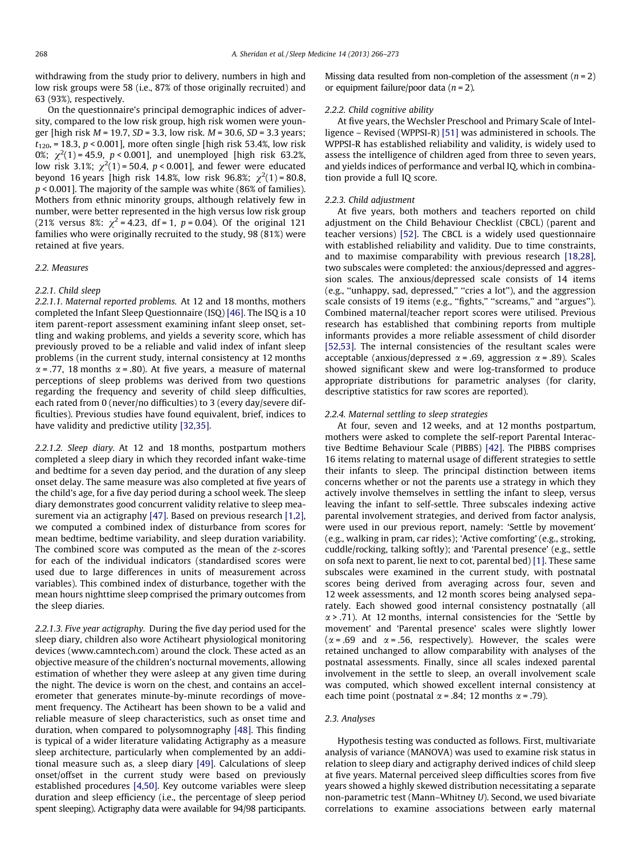withdrawing from the study prior to delivery, numbers in high and low risk groups were 58 (i.e., 87% of those originally recruited) and 63 (93%), respectively.

On the questionnaire's principal demographic indices of adversity, compared to the low risk group, high risk women were younger [high risk  $M = 19.7$ ,  $SD = 3.3$ , low risk.  $M = 30.6$ ,  $SD = 3.3$  years;  $t_{120}$  = 18.3, p < 0.001], more often single [high risk 53.4%, low risk 0%;  $\chi^2(1) = 45.9$ ,  $p < 0.001$ ], and unemployed [high risk 63.2%, low risk 3.1%;  $\chi^2(1)$  = 50.4, p < 0.001], and fewer were educated beyond 16 years [high risk 14.8%, low risk 96.8%;  $\chi^2(1)$  = 80.8,  $p$  < 0.001]. The majority of the sample was white (86% of families). Mothers from ethnic minority groups, although relatively few in number, were better represented in the high versus low risk group (21% versus 8%:  $\chi^2$  = 4.23, df = 1, p = 0.04). Of the original 121 families who were originally recruited to the study, 98 (81%) were retained at five years.

### 2.2. Measures

## 2.2.1. Child sleep

2.2.1.1. Maternal reported problems. At 12 and 18 months, mothers completed the Infant Sleep Questionnaire (ISQ) [\[46\].](#page-7-0) The ISQ is a 10 item parent-report assessment examining infant sleep onset, settling and waking problems, and yields a severity score, which has previously proved to be a reliable and valid index of infant sleep problems (in the current study, internal consistency at 12 months  $\alpha$  = .77, 18 months  $\alpha$  = .80). At five years, a measure of maternal perceptions of sleep problems was derived from two questions regarding the frequency and severity of child sleep difficulties, each rated from 0 (never/no difficulties) to 3 (every day/severe difficulties). Previous studies have found equivalent, brief, indices to have validity and predictive utility [\[32,35\]](#page-7-0).

2.2.1.2. Sleep diary. At 12 and 18 months, postpartum mothers completed a sleep diary in which they recorded infant wake-time and bedtime for a seven day period, and the duration of any sleep onset delay. The same measure was also completed at five years of the child's age, for a five day period during a school week. The sleep diary demonstrates good concurrent validity relative to sleep measurement via an actigraphy [\[47\]](#page-7-0). Based on previous research [\[1,2\],](#page-6-0) we computed a combined index of disturbance from scores for mean bedtime, bedtime variability, and sleep duration variability. The combined score was computed as the mean of the z-scores for each of the individual indicators (standardised scores were used due to large differences in units of measurement across variables). This combined index of disturbance, together with the mean hours nighttime sleep comprised the primary outcomes from the sleep diaries.

2.2.1.3. Five year actigraphy. During the five day period used for the sleep diary, children also wore Actiheart physiological monitoring devices (www.camntech.com) around the clock. These acted as an objective measure of the children's nocturnal movements, allowing estimation of whether they were asleep at any given time during the night. The device is worn on the chest, and contains an accelerometer that generates minute-by-minute recordings of movement frequency. The Actiheart has been shown to be a valid and reliable measure of sleep characteristics, such as onset time and duration, when compared to polysomnography [\[48\]](#page-7-0). This finding is typical of a wider literature validating Actigraphy as a measure sleep architecture, particularly when complemented by an additional measure such as, a sleep diary [\[49\]](#page-7-0). Calculations of sleep onset/offset in the current study were based on previously established procedures [\[4,50\].](#page-7-0) Key outcome variables were sleep duration and sleep efficiency (i.e., the percentage of sleep period spent sleeping). Actigraphy data were available for 94/98 participants.

Missing data resulted from non-completion of the assessment  $(n = 2)$ or equipment failure/poor data  $(n = 2)$ .

#### 2.2.2. Child cognitive ability

At five years, the Wechsler Preschool and Primary Scale of Intelligence – Revised (WPPSI-R) [\[51\]](#page-7-0) was administered in schools. The WPPSI-R has established reliability and validity, is widely used to assess the intelligence of children aged from three to seven years, and yields indices of performance and verbal IQ, which in combination provide a full IQ score.

## 2.2.3. Child adjustment

At five years, both mothers and teachers reported on child adjustment on the Child Behaviour Checklist (CBCL) (parent and teacher versions) [\[52\].](#page-7-0) The CBCL is a widely used questionnaire with established reliability and validity. Due to time constraints, and to maximise comparability with previous research [\[18,28\],](#page-7-0) two subscales were completed: the anxious/depressed and aggression scales. The anxious/depressed scale consists of 14 items (e.g., ''unhappy, sad, depressed,'' ''cries a lot''), and the aggression scale consists of 19 items (e.g., "fights," "screams," and "argues"). Combined maternal/teacher report scores were utilised. Previous research has established that combining reports from multiple informants provides a more reliable assessment of child disorder [\[52,53\].](#page-7-0) The internal consistencies of the resultant scales were acceptable (anxious/depressed  $\alpha$  = .69, aggression  $\alpha$  = .89). Scales showed significant skew and were log-transformed to produce appropriate distributions for parametric analyses (for clarity, descriptive statistics for raw scores are reported).

#### 2.2.4. Maternal settling to sleep strategies

At four, seven and 12 weeks, and at 12 months postpartum, mothers were asked to complete the self-report Parental Interactive Bedtime Behaviour Scale (PIBBS) [\[42\]](#page-7-0). The PIBBS comprises 16 items relating to maternal usage of different strategies to settle their infants to sleep. The principal distinction between items concerns whether or not the parents use a strategy in which they actively involve themselves in settling the infant to sleep, versus leaving the infant to self-settle. Three subscales indexing active parental involvement strategies, and derived from factor analysis, were used in our previous report, namely: 'Settle by movement' (e.g., walking in pram, car rides); 'Active comforting' (e.g., stroking, cuddle/rocking, talking softly); and 'Parental presence' (e.g., settle on sofa next to parent, lie next to cot, parental bed) [\[1\]](#page-6-0). These same subscales were examined in the current study, with postnatal scores being derived from averaging across four, seven and 12 week assessments, and 12 month scores being analysed separately. Each showed good internal consistency postnatally (all  $\alpha$  > .71). At 12 months, internal consistencies for the 'Settle by movement' and 'Parental presence' scales were slightly lower  $(\alpha = .69$  and  $\alpha = .56$ , respectively). However, the scales were retained unchanged to allow comparability with analyses of the postnatal assessments. Finally, since all scales indexed parental involvement in the settle to sleep, an overall involvement scale was computed, which showed excellent internal consistency at each time point (postnatal  $\alpha$  = .84; 12 months  $\alpha$  = .79).

## 2.3. Analyses

Hypothesis testing was conducted as follows. First, multivariate analysis of variance (MANOVA) was used to examine risk status in relation to sleep diary and actigraphy derived indices of child sleep at five years. Maternal perceived sleep difficulties scores from five years showed a highly skewed distribution necessitating a separate non-parametric test (Mann–Whitney U). Second, we used bivariate correlations to examine associations between early maternal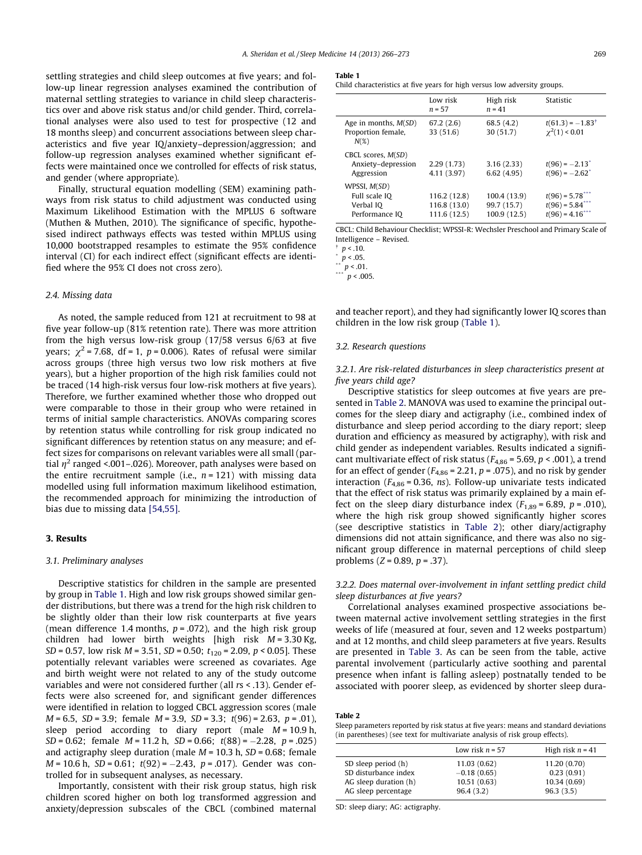<span id="page-3-0"></span>settling strategies and child sleep outcomes at five years; and follow-up linear regression analyses examined the contribution of maternal settling strategies to variance in child sleep characteristics over and above risk status and/or child gender. Third, correlational analyses were also used to test for prospective (12 and 18 months sleep) and concurrent associations between sleep characteristics and five year IQ/anxiety–depression/aggression; and follow-up regression analyses examined whether significant effects were maintained once we controlled for effects of risk status, and gender (where appropriate).

Finally, structural equation modelling (SEM) examining pathways from risk status to child adjustment was conducted using Maximum Likelihood Estimation with the MPLUS 6 software (Muthen & Muthen, 2010). The significance of specific, hypothesised indirect pathways effects was tested within MPLUS using 10,000 bootstrapped resamples to estimate the 95% confidence interval (CI) for each indirect effect (significant effects are identified where the 95% CI does not cross zero).

## 2.4. Missing data

As noted, the sample reduced from 121 at recruitment to 98 at five year follow-up (81% retention rate). There was more attrition from the high versus low-risk group (17/58 versus 6/63 at five years;  $\chi^2$  = 7.68, df = 1, p = 0.006). Rates of refusal were similar across groups (three high versus two low risk mothers at five years), but a higher proportion of the high risk families could not be traced (14 high-risk versus four low-risk mothers at five years). Therefore, we further examined whether those who dropped out were comparable to those in their group who were retained in terms of initial sample characteristics. ANOVAs comparing scores by retention status while controlling for risk group indicated no significant differences by retention status on any measure; and effect sizes for comparisons on relevant variables were all small (partial  $\eta^2$  ranged <.001–.026). Moreover, path analyses were based on the entire recruitment sample (i.e.,  $n = 121$ ) with missing data modelled using full information maximum likelihood estimation, the recommended approach for minimizing the introduction of bias due to missing data [\[54,55\]](#page-7-0).

## 3. Results

#### 3.1. Preliminary analyses

Descriptive statistics for children in the sample are presented by group in Table 1. High and low risk groups showed similar gender distributions, but there was a trend for the high risk children to be slightly older than their low risk counterparts at five years (mean difference 1.4 months,  $p = .072$ ), and the high risk group children had lower birth weights [high risk  $M = 3.30$  Kg,  $SD = 0.57$ , low risk  $M = 3.51$ ,  $SD = 0.50$ ;  $t_{120} = 2.09$ ,  $p < 0.05$ ]. These potentially relevant variables were screened as covariates. Age and birth weight were not related to any of the study outcome variables and were not considered further (all rs < .13). Gender effects were also screened for, and significant gender differences were identified in relation to logged CBCL aggression scores (male  $M = 6.5$ ,  $SD = 3.9$ ; female  $M = 3.9$ ,  $SD = 3.3$ ;  $t(96) = 2.63$ ,  $p = .01$ ), sleep period according to diary report (male  $M = 10.9$  h,  $SD = 0.62$ ; female  $M = 11.2$  h,  $SD = 0.66$ ;  $t(88) = -2.28$ ,  $p = .025$ ) and actigraphy sleep duration (male  $M = 10.3$  h,  $SD = 0.68$ ; female  $M = 10.6$  h,  $SD = 0.61$ ;  $t(92) = -2.43$ ,  $p = .017$ ). Gender was controlled for in subsequent analyses, as necessary.

Importantly, consistent with their risk group status, high risk children scored higher on both log transformed aggression and anxiety/depression subscales of the CBCL (combined maternal

#### Table 1

Child characteristics at five years for high versus low adversity groups.

|                                                              | Low risk<br>$n = 57$                         | High risk<br>$n = 41$                       | <b>Statistic</b>                                               |
|--------------------------------------------------------------|----------------------------------------------|---------------------------------------------|----------------------------------------------------------------|
| Age in months, $M(SD)$<br>Proportion female,<br>$N(\%)$      | 67.2(2.6)<br>33(51.6)                        | 68.5 (4.2)<br>30(51.7)                      | $t(61.3) = -1.83^{\dagger}$<br>$\gamma^2(1)$ < 0.01            |
| CBCL scores, M(SD)<br>Anxiety-depression<br>Aggression       | 2.29(1.73)<br>4.11 (3.97)                    | 3.16(2.33)<br>6.62(4.95)                    | $t(96) = -2.13$<br>$t(96) = -2.62^*$                           |
| WPSSI, M(SD)<br>Full scale IO<br>Verbal IO<br>Performance IO | 116.2 (12.8)<br>116.8 (13.0)<br>111.6 (12.5) | 100.4 (13.9)<br>99.7 (15.7)<br>100.9 (12.5) | $t(96) = 5.78$ ***<br>$t(96) = 5.84$ ***<br>$t(96) = 4.16$ *** |

CBCL: Child Behaviour Checklist; WPSSI-R: Wechsler Preschool and Primary Scale of Intelligence – Revised.

\*\*\*  $p < .005$ .

and teacher report), and they had significantly lower IQ scores than children in the low risk group (Table 1).

#### 3.2. Research questions

## 3.2.1. Are risk-related disturbances in sleep characteristics present at five years child age?

Descriptive statistics for sleep outcomes at five years are presented in Table 2. MANOVA was used to examine the principal outcomes for the sleep diary and actigraphy (i.e., combined index of disturbance and sleep period according to the diary report; sleep duration and efficiency as measured by actigraphy), with risk and child gender as independent variables. Results indicated a significant multivariate effect of risk status ( $F_{4,86}$  = 5.69,  $p$  < .001), a trend for an effect of gender ( $F_{4,86}$  = 2.21,  $p$  = .075), and no risk by gender interaction ( $F_{4,86}$  = 0.36, ns). Follow-up univariate tests indicated that the effect of risk status was primarily explained by a main effect on the sleep diary disturbance index  $(F<sub>1.89</sub> = 6.89, p = .010)$ , where the high risk group showed significantly higher scores (see descriptive statistics in Table 2); other diary/actigraphy dimensions did not attain significance, and there was also no significant group difference in maternal perceptions of child sleep problems  $(Z = 0.89, p = .37)$ .

## 3.2.2. Does maternal over-involvement in infant settling predict child sleep disturbances at five years?

Correlational analyses examined prospective associations between maternal active involvement settling strategies in the first weeks of life (measured at four, seven and 12 weeks postpartum) and at 12 months, and child sleep parameters at five years. Results are presented in [Table 3](#page-4-0). As can be seen from the table, active parental involvement (particularly active soothing and parental presence when infant is falling asleep) postnatally tended to be associated with poorer sleep, as evidenced by shorter sleep dura-

| Table 2                                                                               |
|---------------------------------------------------------------------------------------|
| Sleep parameters reported by risk status at five years: means and standard deviations |
| (in parentheses) (see text for multivariate analysis of risk group effects).          |

|                       | Low risk $n = 57$ | High risk $n = 41$ |
|-----------------------|-------------------|--------------------|
| SD sleep period (h)   | 11.03(0.62)       | 11.20 (0.70)       |
| SD disturbance index  | $-0.18(0.65)$     | 0.23(0.91)         |
| AG sleep duration (h) | 10.51(0.63)       | 10.34 (0.69)       |
| AG sleep percentage   | 96.4(3.2)         | 96.3(3.5)          |
|                       |                   |                    |

SD: sleep diary; AG: actigraphy.

 $^{\dagger}$  p < .10.

 $p < 0.05$ .

<sup>\*\*</sup>  $p < .01$ .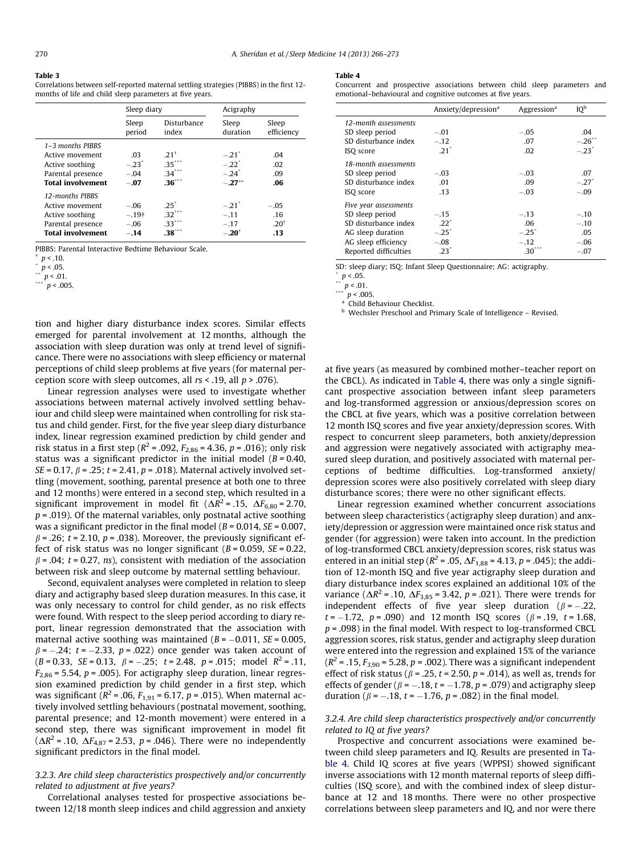#### <span id="page-4-0"></span>Table 3

Correlations between self-reported maternal settling strategies (PIBBS) in the first 12 months of life and child sleep parameters at five years.

|                                                                                                         | Sleep diary                                    |                                                                    | Acigraphy                                                        |                                         |
|---------------------------------------------------------------------------------------------------------|------------------------------------------------|--------------------------------------------------------------------|------------------------------------------------------------------|-----------------------------------------|
|                                                                                                         | Sleep<br>period                                | Disturbance<br>index                                               | Sleep<br>duration                                                | Sleep<br>efficiency                     |
| 1-3 months PIBBS<br>Active movement<br>Active soothing<br>Parental presence<br><b>Total involvement</b> | .03<br>$-.23$ <sup>*</sup><br>$-.04$<br>$-.07$ | .21 <sup>†</sup><br>$.35$ <sup>***</sup><br>$.34$ $11$<br>$.36***$ | $-.21"$<br>$-.22$ <sup>*</sup><br>$-24$ <sup>*</sup><br>$-.27**$ | .04<br>.02<br>.09<br>.06                |
| 12-months PIBBS<br>Active movement<br>Active soothing<br>Parental presence<br><b>Total involvement</b>  | $-.06$<br>$-.19+$<br>$-.06$<br>$-.14$          | 25"<br>$.32$ <sup>*</sup><br>$.33***$<br>.38                       | $-.21$ <sup>*</sup><br>$-.11$<br>$-.17$<br>$-.20^\dagger$        | $-.05$<br>.16<br>$.20^{\dagger}$<br>.13 |

PIBBS: Parental Interactive Bedtime Behaviour Scale.

 $^{\dagger}$  p < .10.

 $\sum_{n=1}^{\infty} p < .05$ .

 $\sum_{n=1}^{n} p < .01.$ 

 $p < .005$ .

tion and higher diary disturbance index scores. Similar effects emerged for parental involvement at 12 months, although the association with sleep duration was only at trend level of significance. There were no associations with sleep efficiency or maternal perceptions of child sleep problems at five years (for maternal perception score with sleep outcomes, all  $rs <$  19, all  $p > .076$ ).

Linear regression analyses were used to investigate whether associations between maternal actively involved settling behaviour and child sleep were maintained when controlling for risk status and child gender. First, for the five year sleep diary disturbance index, linear regression examined prediction by child gender and risk status in a first step ( $R^2$  = .092,  $F_{2,86}$  = 4.36,  $p$  = .016); only risk status was a significant predictor in the initial model  $(B = 0.40$ , SE = 0.17,  $\beta$  = .25; t = 2.41, p = .018). Maternal actively involved settling (movement, soothing, parental presence at both one to three and 12 months) were entered in a second step, which resulted in a significant improvement in model fit ( $\Delta R^2$  = .15,  $\Delta F_{6.80}$  = 2.70,  $p = .019$ ). Of the maternal variables, only postnatal active soothing was a significant predictor in the final model ( $B = 0.014$ ,  $SE = 0.007$ ,  $\beta$  = .26; t = 2.10, p = .038). Moreover, the previously significant effect of risk status was no longer significant  $(B = 0.059, SE = 0.22,$  $\beta$  = .04; t = 0.27, ns), consistent with mediation of the association between risk and sleep outcome by maternal settling behaviour.

Second, equivalent analyses were completed in relation to sleep diary and actigraphy based sleep duration measures. In this case, it was only necessary to control for child gender, as no risk effects were found. With respect to the sleep period according to diary report, linear regression demonstrated that the association with maternal active soothing was maintained ( $B$  =  $-0.011$ , SE = 0.005,  $\beta$  =  $-.24;$  t =  $-2.33, p$  = .022) once gender was taken account of  $(B = 0.33, \text{ } SE = 0.13, \text{ } \beta = -.25; \text{ } t = 2.48, \text{ } p = .015; \text{ model } R^2 = .11,$  $F_{2,86}$  = 5.54, p = .005). For actigraphy sleep duration, linear regression examined prediction by child gender in a first step, which was significant ( $R^2$  = .06,  $F_{1,91}$  = 6.17, p = .015). When maternal actively involved settling behaviours (postnatal movement, soothing, parental presence; and 12-month movement) were entered in a second step, there was significant improvement in model fit  $(\Delta R^2 = .10, \Delta F_{4.87} = 2.53, p = .046)$ . There were no independently significant predictors in the final model.

## 3.2.3. Are child sleep characteristics prospectively and/or concurrently related to adjustment at five years?

Correlational analyses tested for prospective associations between 12/18 month sleep indices and child aggression and anxiety

#### Table 4

Concurrent and prospective associations between child sleep parameters and emotional–behavioural and cognitive outcomes at five years.

|                       | Anxiety/depression <sup>a</sup> | Aggression <sup>a</sup> | IO <sub>p</sub>    |
|-----------------------|---------------------------------|-------------------------|--------------------|
| 12-month assessments  |                                 |                         |                    |
| SD sleep period       | $-.01$                          | $-.05$                  | .04                |
| SD disturbance index  | $-.12$                          | .07                     | $-.26$             |
| ISO score             | $.21*$                          | .02                     | $-23$ <sup>*</sup> |
| 18-month assessments  |                                 |                         |                    |
| SD sleep period       | $-.03$                          | $-.03$                  | .07                |
| SD disturbance index  | .01                             | .09                     | $-.27"$            |
| ISO score             | .13                             | $-.03$                  | $-.09$             |
| Five year assessments |                                 |                         |                    |
| SD sleep period       | $-.15$                          | $-.13$                  | $-.10$             |
| SD disturbance index  | $.22^*$                         | .06                     | $-.10$             |
| AG sleep duration     | $-.25$ <sup>*</sup>             | $-.25$ <sup>*</sup>     | .05                |
| AG sleep efficiency   | $-.08$                          | $-.12$                  | $-.06$             |
| Reported difficulties | 23"                             | .30                     | $-.07$             |

SD: sleep diary; ISQ: Infant Sleep Questionnaire; AG: actigraphy.

 $p < 0.05$ .

\*\*  $p < .01$ .

 $p < .005$ .

<sup>a</sup> Child Behaviour Checklist.

**b** Wechsler Preschool and Primary Scale of Intelligence – Revised.

at five years (as measured by combined mother–teacher report on the CBCL). As indicated in Table 4, there was only a single significant prospective association between infant sleep parameters and log-transformed aggression or anxious/depression scores on the CBCL at five years, which was a positive correlation between 12 month ISQ scores and five year anxiety/depression scores. With respect to concurrent sleep parameters, both anxiety/depression and aggression were negatively associated with actigraphy measured sleep duration, and positively associated with maternal perceptions of bedtime difficulties. Log-transformed anxiety/ depression scores were also positively correlated with sleep diary disturbance scores; there were no other significant effects.

Linear regression examined whether concurrent associations between sleep characteristics (actigraphy sleep duration) and anxiety/depression or aggression were maintained once risk status and gender (for aggression) were taken into account. In the prediction of log-transformed CBCL anxiety/depression scores, risk status was entered in an initial step ( $R^2$  = .05,  $\Delta F_{1.88}$  = 4.13, p = .045); the addition of 12-month ISQ and five year actigraphy sleep duration and diary disturbance index scores explained an additional 10% of the variance ( $\Delta R^2$  = .10,  $\Delta F_{3,85}$  = 3.42, p = .021). There were trends for independent effects of five year sleep duration ( $\beta = -.22$ ,  $t = -1.72$ ,  $p = .090$ ) and 12 month ISQ scores ( $\beta = .19$ ,  $t = 1.68$ ,  $p = .098$ ) in the final model. With respect to log-transformed CBCL aggression scores, risk status, gender and actigraphy sleep duration were entered into the regression and explained 15% of the variance  $(R^{2} = .15, F_{3,90} = 5.28, p = .002)$ . There was a significant independent effect of risk status ( $\beta$  = .25, t = 2.50, p = .014), as well as, trends for effects of gender ( $\beta$  = -.18, t = -1.78, p = .079) and actigraphy sleep duration ( $\beta$  = -.18, t = -1.76, p = .082) in the final model.

## 3.2.4. Are child sleep characteristics prospectively and/or concurrently related to IQ at five years?

Prospective and concurrent associations were examined between child sleep parameters and IQ. Results are presented in Table 4. Child IQ scores at five years (WPPSI) showed significant inverse associations with 12 month maternal reports of sleep difficulties (ISQ score), and with the combined index of sleep disturbance at 12 and 18 months. There were no other prospective correlations between sleep parameters and IQ, and nor were there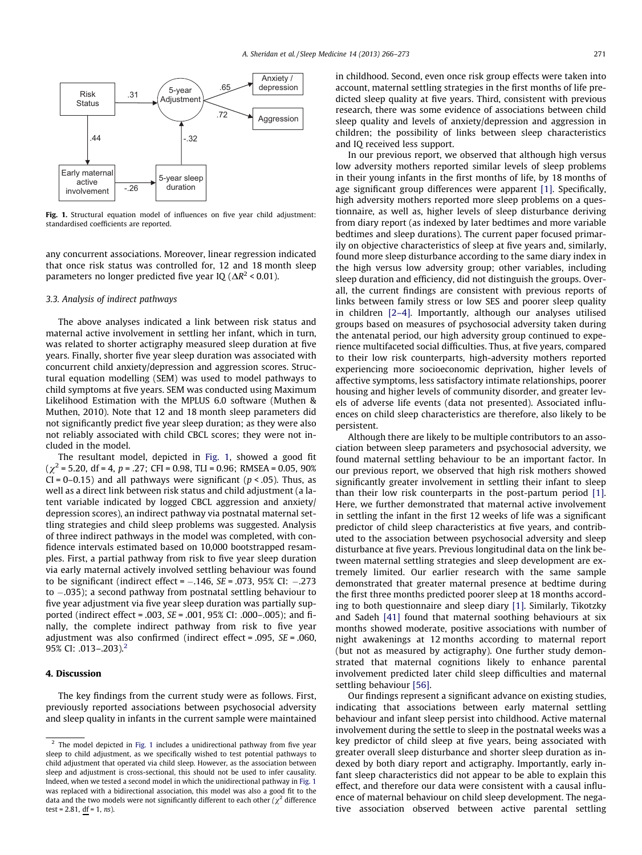

Fig. 1. Structural equation model of influences on five year child adjustment: standardised coefficients are reported.

any concurrent associations. Moreover, linear regression indicated that once risk status was controlled for, 12 and 18 month sleep parameters no longer predicted five year IO ( $\Delta R^2$  < 0.01).

### 3.3. Analysis of indirect pathways

The above analyses indicated a link between risk status and maternal active involvement in settling her infant, which in turn, was related to shorter actigraphy measured sleep duration at five years. Finally, shorter five year sleep duration was associated with concurrent child anxiety/depression and aggression scores. Structural equation modelling (SEM) was used to model pathways to child symptoms at five years. SEM was conducted using Maximum Likelihood Estimation with the MPLUS 6.0 software (Muthen & Muthen, 2010). Note that 12 and 18 month sleep parameters did not significantly predict five year sleep duration; as they were also not reliably associated with child CBCL scores; they were not included in the model.

The resultant model, depicted in Fig. 1, showed a good fit  $(\chi^2 = 5.20, df = 4, p = .27; CFI = 0.98, TLI = 0.96; RMSEA = 0.05, 90%$  $CI = 0-0.15$ ) and all pathways were significant ( $p < .05$ ). Thus, as well as a direct link between risk status and child adjustment (a latent variable indicated by logged CBCL aggression and anxiety/ depression scores), an indirect pathway via postnatal maternal settling strategies and child sleep problems was suggested. Analysis of three indirect pathways in the model was completed, with confidence intervals estimated based on 10,000 bootstrapped resamples. First, a partial pathway from risk to five year sleep duration via early maternal actively involved settling behaviour was found to be significant (indirect effect = -.146, SE = .073, 95% CI: -.273 to -.035); a second pathway from postnatal settling behaviour to five year adjustment via five year sleep duration was partially supported (indirect effect = .003,  $SE = .001$ , 95% CI: .000–.005); and finally, the complete indirect pathway from risk to five year adjustment was also confirmed (indirect effect = .095,  $SE = .060$ , 95% CI: .013-.203).<sup>2</sup>

## 4. Discussion

The key findings from the current study were as follows. First, previously reported associations between psychosocial adversity and sleep quality in infants in the current sample were maintained in childhood. Second, even once risk group effects were taken into account, maternal settling strategies in the first months of life predicted sleep quality at five years. Third, consistent with previous research, there was some evidence of associations between child sleep quality and levels of anxiety/depression and aggression in children; the possibility of links between sleep characteristics and IQ received less support.

In our previous report, we observed that although high versus low adversity mothers reported similar levels of sleep problems in their young infants in the first months of life, by 18 months of age significant group differences were apparent [\[1\].](#page-6-0) Specifically, high adversity mothers reported more sleep problems on a questionnaire, as well as, higher levels of sleep disturbance deriving from diary report (as indexed by later bedtimes and more variable bedtimes and sleep durations). The current paper focused primarily on objective characteristics of sleep at five years and, similarly, found more sleep disturbance according to the same diary index in the high versus low adversity group; other variables, including sleep duration and efficiency, did not distinguish the groups. Overall, the current findings are consistent with previous reports of links between family stress or low SES and poorer sleep quality in children [\[2–4\].](#page-6-0) Importantly, although our analyses utilised groups based on measures of psychosocial adversity taken during the antenatal period, our high adversity group continued to experience multifaceted social difficulties. Thus, at five years, compared to their low risk counterparts, high-adversity mothers reported experiencing more socioeconomic deprivation, higher levels of affective symptoms, less satisfactory intimate relationships, poorer housing and higher levels of community disorder, and greater levels of adverse life events (data not presented). Associated influences on child sleep characteristics are therefore, also likely to be persistent.

Although there are likely to be multiple contributors to an association between sleep parameters and psychosocial adversity, we found maternal settling behaviour to be an important factor. In our previous report, we observed that high risk mothers showed significantly greater involvement in settling their infant to sleep than their low risk counterparts in the post-partum period [\[1\].](#page-6-0) Here, we further demonstrated that maternal active involvement in settling the infant in the first 12 weeks of life was a significant predictor of child sleep characteristics at five years, and contributed to the association between psychosocial adversity and sleep disturbance at five years. Previous longitudinal data on the link between maternal settling strategies and sleep development are extremely limited. Our earlier research with the same sample demonstrated that greater maternal presence at bedtime during the first three months predicted poorer sleep at 18 months according to both questionnaire and sleep diary [\[1\]](#page-6-0). Similarly, Tikotzky and Sadeh [\[41\]](#page-7-0) found that maternal soothing behaviours at six months showed moderate, positive associations with number of night awakenings at 12 months according to maternal report (but not as measured by actigraphy). One further study demonstrated that maternal cognitions likely to enhance parental involvement predicted later child sleep difficulties and maternal settling behaviour [\[56\].](#page-7-0)

Our findings represent a significant advance on existing studies, indicating that associations between early maternal settling behaviour and infant sleep persist into childhood. Active maternal involvement during the settle to sleep in the postnatal weeks was a key predictor of child sleep at five years, being associated with greater overall sleep disturbance and shorter sleep duration as indexed by both diary report and actigraphy. Importantly, early infant sleep characteristics did not appear to be able to explain this effect, and therefore our data were consistent with a causal influence of maternal behaviour on child sleep development. The negative association observed between active parental settling

 $2$  The model depicted in Fig. 1 includes a unidirectional pathway from five year sleep to child adjustment, as we specifically wished to test potential pathways to child adjustment that operated via child sleep. However, as the association between sleep and adjustment is cross-sectional, this should not be used to infer causality. Indeed, when we tested a second model in which the unidirectional pathway in Fig. 1 was replaced with a bidirectional association, this model was also a good fit to the data and the two models were not significantly different to each other ( $\chi^2$  difference test = 2.81,  $\underline{df}$  = 1, ns).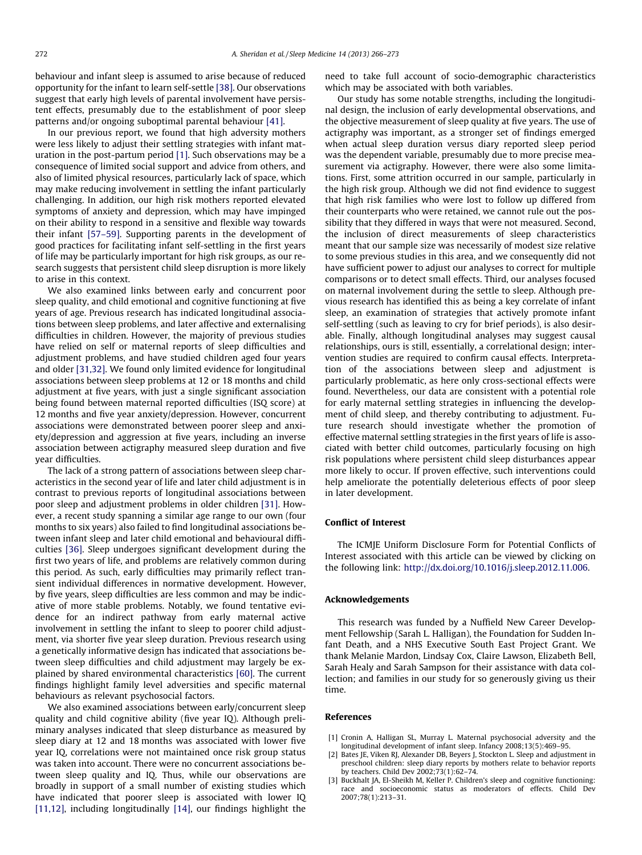<span id="page-6-0"></span>behaviour and infant sleep is assumed to arise because of reduced opportunity for the infant to learn self-settle [\[38\].](#page-7-0) Our observations suggest that early high levels of parental involvement have persistent effects, presumably due to the establishment of poor sleep patterns and/or ongoing suboptimal parental behaviour [\[41\].](#page-7-0)

In our previous report, we found that high adversity mothers were less likely to adjust their settling strategies with infant maturation in the post-partum period [1]. Such observations may be a consequence of limited social support and advice from others, and also of limited physical resources, particularly lack of space, which may make reducing involvement in settling the infant particularly challenging. In addition, our high risk mothers reported elevated symptoms of anxiety and depression, which may have impinged on their ability to respond in a sensitive and flexible way towards their infant [\[57–59\]](#page-7-0). Supporting parents in the development of good practices for facilitating infant self-settling in the first years of life may be particularly important for high risk groups, as our research suggests that persistent child sleep disruption is more likely to arise in this context.

We also examined links between early and concurrent poor sleep quality, and child emotional and cognitive functioning at five years of age. Previous research has indicated longitudinal associations between sleep problems, and later affective and externalising difficulties in children. However, the majority of previous studies have relied on self or maternal reports of sleep difficulties and adjustment problems, and have studied children aged four years and older [\[31,32\].](#page-7-0) We found only limited evidence for longitudinal associations between sleep problems at 12 or 18 months and child adjustment at five years, with just a single significant association being found between maternal reported difficulties (ISQ score) at 12 months and five year anxiety/depression. However, concurrent associations were demonstrated between poorer sleep and anxiety/depression and aggression at five years, including an inverse association between actigraphy measured sleep duration and five year difficulties.

The lack of a strong pattern of associations between sleep characteristics in the second year of life and later child adjustment is in contrast to previous reports of longitudinal associations between poor sleep and adjustment problems in older children [\[31\]](#page-7-0). However, a recent study spanning a similar age range to our own (four months to six years) also failed to find longitudinal associations between infant sleep and later child emotional and behavioural difficulties [\[36\]](#page-7-0). Sleep undergoes significant development during the first two years of life, and problems are relatively common during this period. As such, early difficulties may primarily reflect transient individual differences in normative development. However, by five years, sleep difficulties are less common and may be indicative of more stable problems. Notably, we found tentative evidence for an indirect pathway from early maternal active involvement in settling the infant to sleep to poorer child adjustment, via shorter five year sleep duration. Previous research using a genetically informative design has indicated that associations between sleep difficulties and child adjustment may largely be explained by shared environmental characteristics [\[60\].](#page-7-0) The current findings highlight family level adversities and specific maternal behaviours as relevant psychosocial factors.

We also examined associations between early/concurrent sleep quality and child cognitive ability (five year IQ). Although preliminary analyses indicated that sleep disturbance as measured by sleep diary at 12 and 18 months was associated with lower five year IQ, correlations were not maintained once risk group status was taken into account. There were no concurrent associations between sleep quality and IQ. Thus, while our observations are broadly in support of a small number of existing studies which have indicated that poorer sleep is associated with lower IQ [\[11,12\],](#page-7-0) including longitudinally [\[14\],](#page-7-0) our findings highlight the need to take full account of socio-demographic characteristics which may be associated with both variables.

Our study has some notable strengths, including the longitudinal design, the inclusion of early developmental observations, and the objective measurement of sleep quality at five years. The use of actigraphy was important, as a stronger set of findings emerged when actual sleep duration versus diary reported sleep period was the dependent variable, presumably due to more precise measurement via actigraphy. However, there were also some limitations. First, some attrition occurred in our sample, particularly in the high risk group. Although we did not find evidence to suggest that high risk families who were lost to follow up differed from their counterparts who were retained, we cannot rule out the possibility that they differed in ways that were not measured. Second, the inclusion of direct measurements of sleep characteristics meant that our sample size was necessarily of modest size relative to some previous studies in this area, and we consequently did not have sufficient power to adjust our analyses to correct for multiple comparisons or to detect small effects. Third, our analyses focused on maternal involvement during the settle to sleep. Although previous research has identified this as being a key correlate of infant sleep, an examination of strategies that actively promote infant self-settling (such as leaving to cry for brief periods), is also desirable. Finally, although longitudinal analyses may suggest causal relationships, ours is still, essentially, a correlational design; intervention studies are required to confirm causal effects. Interpretation of the associations between sleep and adjustment is particularly problematic, as here only cross-sectional effects were found. Nevertheless, our data are consistent with a potential role for early maternal settling strategies in influencing the development of child sleep, and thereby contributing to adjustment. Future research should investigate whether the promotion of effective maternal settling strategies in the first years of life is associated with better child outcomes, particularly focusing on high risk populations where persistent child sleep disturbances appear more likely to occur. If proven effective, such interventions could help ameliorate the potentially deleterious effects of poor sleep in later development.

#### Conflict of Interest

The ICMJE Uniform Disclosure Form for Potential Conflicts of Interest associated with this article can be viewed by clicking on the following link: [http://dx.doi.org/10.1016/j.sleep.2012.11.006](http://dx.doi.org/10.1016/j.sleep.2012.10.017).

#### Acknowledgements

This research was funded by a Nuffield New Career Development Fellowship (Sarah L. Halligan), the Foundation for Sudden Infant Death, and a NHS Executive South East Project Grant. We thank Melanie Mardon, Lindsay Cox, Claire Lawson, Elizabeth Bell, Sarah Healy and Sarah Sampson for their assistance with data collection; and families in our study for so generously giving us their time.

#### References

- [1] Cronin A, Halligan SL, Murray L. Maternal psychosocial adversity and the longitudinal development of infant sleep. Infancy 2008;13(5):469–95.
- [2] Bates JE, Viken RJ, Alexander DB, Beyers J, Stockton L. Sleep and adjustment in preschool children: sleep diary reports by mothers relate to behavior reports by teachers. Child Dev 2002;73(1):62–74.
- [3] Buckhalt JA, El-Sheikh M, Keller P. Children's sleep and cognitive functioning: race and socioeconomic status as moderators of effects. Child Dev 2007;78(1):213–31.